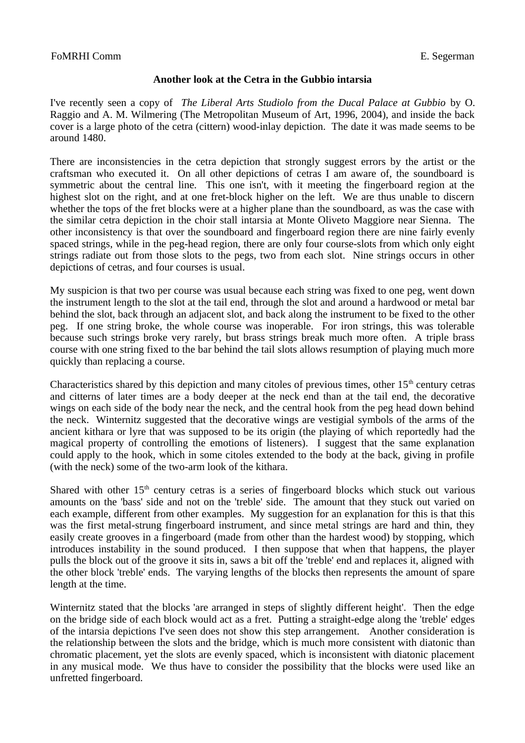## **Another look at the Cetra in the Gubbio intarsia**

I've recently seen a copy of *The Liberal Arts Studiolo from the Ducal Palace at Gubbio* by O. Raggio and A. M. Wilmering (The Metropolitan Museum of Art, 1996, 2004), and inside the back cover is a large photo of the cetra (cittern) wood-inlay depiction. The date it was made seems to be around 1480.

There are inconsistencies in the cetra depiction that strongly suggest errors by the artist or the craftsman who executed it. On all other depictions of cetras I am aware of, the soundboard is symmetric about the central line. This one isn't, with it meeting the fingerboard region at the highest slot on the right, and at one fret-block higher on the left. We are thus unable to discern whether the tops of the fret blocks were at a higher plane than the soundboard, as was the case with the similar cetra depiction in the choir stall intarsia at Monte Oliveto Maggiore near Sienna. The other inconsistency is that over the soundboard and fingerboard region there are nine fairly evenly spaced strings, while in the peg-head region, there are only four course-slots from which only eight strings radiate out from those slots to the pegs, two from each slot. Nine strings occurs in other depictions of cetras, and four courses is usual.

My suspicion is that two per course was usual because each string was fixed to one peg, went down the instrument length to the slot at the tail end, through the slot and around a hardwood or metal bar behind the slot, back through an adjacent slot, and back along the instrument to be fixed to the other peg. If one string broke, the whole course was inoperable. For iron strings, this was tolerable because such strings broke very rarely, but brass strings break much more often. A triple brass course with one string fixed to the bar behind the tail slots allows resumption of playing much more quickly than replacing a course.

Characteristics shared by this depiction and many citoles of previous times, other  $15<sup>th</sup>$  century cetras and citterns of later times are a body deeper at the neck end than at the tail end, the decorative wings on each side of the body near the neck, and the central hook from the peg head down behind the neck. Winternitz suggested that the decorative wings are vestigial symbols of the arms of the ancient kithara or lyre that was supposed to be its origin (the playing of which reportedly had the magical property of controlling the emotions of listeners). I suggest that the same explanation could apply to the hook, which in some citoles extended to the body at the back, giving in profile (with the neck) some of the two-arm look of the kithara.

Shared with other  $15<sup>th</sup>$  century cetras is a series of fingerboard blocks which stuck out various amounts on the 'bass' side and not on the 'treble' side. The amount that they stuck out varied on each example, different from other examples. My suggestion for an explanation for this is that this was the first metal-strung fingerboard instrument, and since metal strings are hard and thin, they easily create grooves in a fingerboard (made from other than the hardest wood) by stopping, which introduces instability in the sound produced. I then suppose that when that happens, the player pulls the block out of the groove it sits in, saws a bit off the 'treble' end and replaces it, aligned with the other block 'treble' ends. The varying lengths of the blocks then represents the amount of spare length at the time.

Winternitz stated that the blocks 'are arranged in steps of slightly different height'. Then the edge on the bridge side of each block would act as a fret. Putting a straight-edge along the 'treble' edges of the intarsia depictions I've seen does not show this step arrangement. Another consideration is the relationship between the slots and the bridge, which is much more consistent with diatonic than chromatic placement, yet the slots are evenly spaced, which is inconsistent with diatonic placement in any musical mode. We thus have to consider the possibility that the blocks were used like an unfretted fingerboard.